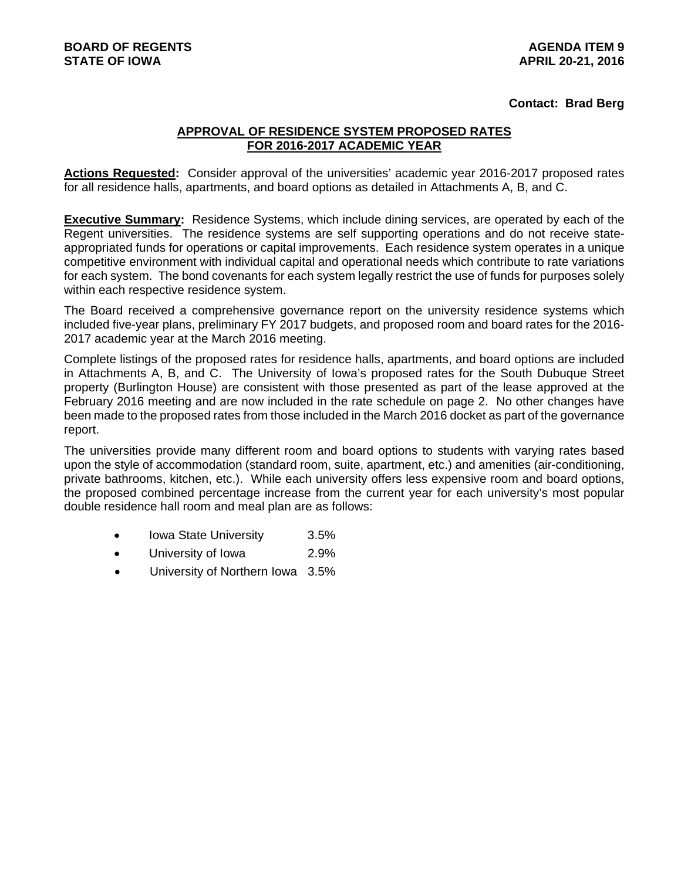## **Contact: Brad Berg**

## **APPROVAL OF RESIDENCE SYSTEM PROPOSED RATES FOR 2016-2017 ACADEMIC YEAR**

**Actions Requested:** Consider approval of the universities' academic year 2016-2017 proposed rates for all residence halls, apartments, and board options as detailed in Attachments A, B, and C.

**Executive Summary:** Residence Systems, which include dining services, are operated by each of the Regent universities. The residence systems are self supporting operations and do not receive stateappropriated funds for operations or capital improvements. Each residence system operates in a unique competitive environment with individual capital and operational needs which contribute to rate variations for each system. The bond covenants for each system legally restrict the use of funds for purposes solely within each respective residence system.

The Board received a comprehensive governance report on the university residence systems which included five-year plans, preliminary FY 2017 budgets, and proposed room and board rates for the 2016- 2017 academic year at the March 2016 meeting.

Complete listings of the proposed rates for residence halls, apartments, and board options are included in Attachments A, B, and C. The University of Iowa's proposed rates for the South Dubuque Street property (Burlington House) are consistent with those presented as part of the lease approved at the February 2016 meeting and are now included in the rate schedule on page 2. No other changes have been made to the proposed rates from those included in the March 2016 docket as part of the governance report.

The universities provide many different room and board options to students with varying rates based upon the style of accommodation (standard room, suite, apartment, etc.) and amenities (air-conditioning, private bathrooms, kitchen, etc.). While each university offers less expensive room and board options, the proposed combined percentage increase from the current year for each university's most popular double residence hall room and meal plan are as follows:

- Iowa State University 3.5%
- University of Iowa 2.9%
- University of Northern Iowa 3.5%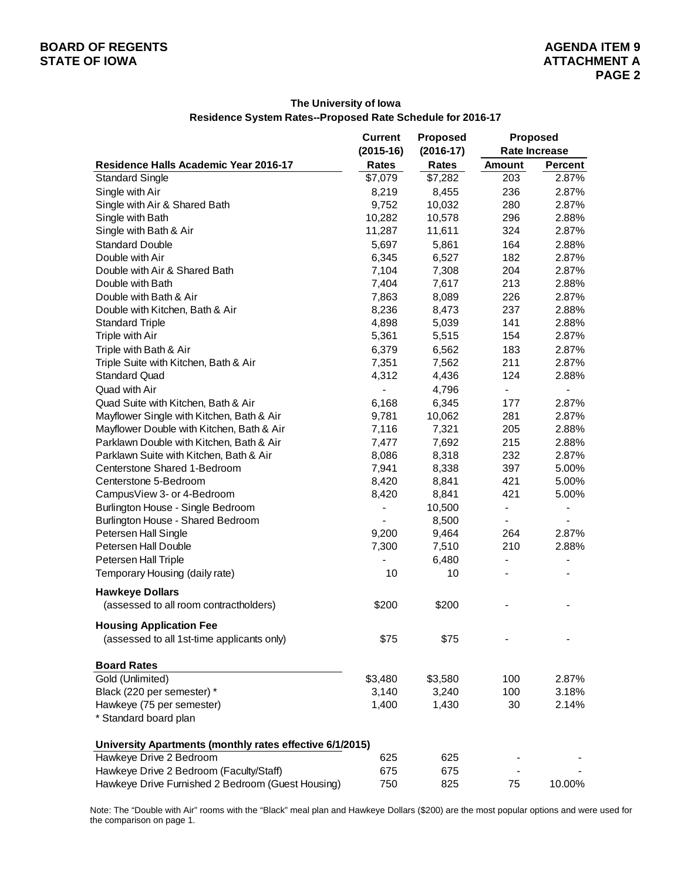|                                                          | <b>Current</b><br>$(2015-16)$ | <b>Proposed</b><br>$(2016-17)$ | <b>Proposed</b><br><b>Rate Increase</b> |                          |
|----------------------------------------------------------|-------------------------------|--------------------------------|-----------------------------------------|--------------------------|
| Residence Halls Academic Year 2016-17                    | Rates                         | Rates                          | <b>Amount</b>                           | Percent                  |
| <b>Standard Single</b>                                   | \$7,079                       | \$7,282                        | 203                                     | 2.87%                    |
| Single with Air                                          | 8,219                         | 8,455                          | 236                                     | 2.87%                    |
| Single with Air & Shared Bath                            | 9,752                         | 10,032                         | 280                                     | 2.87%                    |
| Single with Bath                                         | 10,282                        | 10,578                         | 296                                     | 2.88%                    |
| Single with Bath & Air                                   | 11,287                        | 11,611                         | 324                                     | 2.87%                    |
| <b>Standard Double</b>                                   | 5,697                         | 5,861                          | 164                                     | 2.88%                    |
| Double with Air                                          | 6,345                         | 6,527                          | 182                                     | 2.87%                    |
| Double with Air & Shared Bath                            | 7,104                         | 7,308                          | 204                                     | 2.87%                    |
| Double with Bath                                         | 7,404                         | 7,617                          | 213                                     | 2.88%                    |
| Double with Bath & Air                                   | 7,863                         | 8,089                          | 226                                     | 2.87%                    |
| Double with Kitchen, Bath & Air                          | 8,236                         | 8,473                          | 237                                     | 2.88%                    |
| <b>Standard Triple</b>                                   | 4,898                         | 5,039                          | 141                                     | 2.88%                    |
| Triple with Air                                          | 5,361                         | 5,515                          | 154                                     | 2.87%                    |
| Triple with Bath & Air                                   | 6,379                         | 6,562                          | 183                                     | 2.87%                    |
| Triple Suite with Kitchen, Bath & Air                    | 7,351                         | 7,562                          | 211                                     | 2.87%                    |
| <b>Standard Quad</b>                                     | 4,312                         | 4,436                          | 124                                     | 2.88%                    |
| Quad with Air                                            | $\overline{a}$                | 4,796                          | $\blacksquare$                          | $\blacksquare$           |
| Quad Suite with Kitchen, Bath & Air                      | 6,168                         | 6,345                          | 177                                     | 2.87%                    |
| Mayflower Single with Kitchen, Bath & Air                | 9,781                         | 10,062                         | 281                                     | 2.87%                    |
| Mayflower Double with Kitchen, Bath & Air                | 7,116                         | 7,321                          | 205                                     | 2.88%                    |
| Parklawn Double with Kitchen, Bath & Air                 | 7,477                         | 7,692                          | 215                                     | 2.88%                    |
| Parklawn Suite with Kitchen, Bath & Air                  | 8,086                         | 8,318                          | 232                                     | 2.87%                    |
| Centerstone Shared 1-Bedroom                             | 7,941                         | 8,338                          | 397                                     | 5.00%                    |
| Centerstone 5-Bedroom                                    | 8,420                         | 8,841                          | 421                                     | 5.00%                    |
| CampusView 3- or 4-Bedroom                               | 8,420                         | 8,841                          | 421                                     | 5.00%                    |
| Burlington House - Single Bedroom                        |                               | 10,500                         | $\overline{\phantom{0}}$                |                          |
| Burlington House - Shared Bedroom                        |                               | 8,500                          | $\blacksquare$                          | $\overline{\phantom{0}}$ |
| Petersen Hall Single                                     | 9,200                         | 9,464                          | 264                                     | 2.87%                    |
| Petersen Hall Double                                     | 7,300                         | 7,510                          | 210                                     | 2.88%                    |
| Petersen Hall Triple                                     |                               | 6,480                          | $\overline{\phantom{a}}$                |                          |
| Temporary Housing (daily rate)                           | 10                            | 10                             |                                         |                          |
|                                                          |                               |                                |                                         |                          |
| <b>Hawkeye Dollars</b>                                   |                               |                                |                                         |                          |
| (assessed to all room contractholders)                   | \$200                         | \$200                          |                                         |                          |
| <b>Housing Application Fee</b>                           |                               |                                |                                         |                          |
| (assessed to all 1st-time applicants only)               | \$75                          | \$75                           |                                         |                          |
| <b>Board Rates</b>                                       |                               |                                |                                         |                          |
| Gold (Unlimited)                                         | \$3,480                       | \$3,580                        | 100                                     | 2.87%                    |
| Black (220 per semester) *                               | 3,140                         | 3,240                          | 100                                     | 3.18%                    |
| Hawkeye (75 per semester)                                | 1,400                         | 1,430                          | 30                                      | 2.14%                    |
| * Standard board plan                                    |                               |                                |                                         |                          |
| University Apartments (monthly rates effective 6/1/2015) |                               |                                |                                         |                          |
| Hawkeye Drive 2 Bedroom                                  | 625                           | 625                            |                                         |                          |
| Hawkeye Drive 2 Bedroom (Faculty/Staff)                  | 675                           | 675                            |                                         |                          |
| Hawkeye Drive Furnished 2 Bedroom (Guest Housing)        | 750                           | 825                            | 75                                      | 10.00%                   |

## **The University of Iowa Residence System Rates--Proposed Rate Schedule for 2016-17**

Note: The "Double with Air" rooms with the "Black" meal plan and Hawkeye Dollars (\$200) are the most popular options and were used for the comparison on page 1.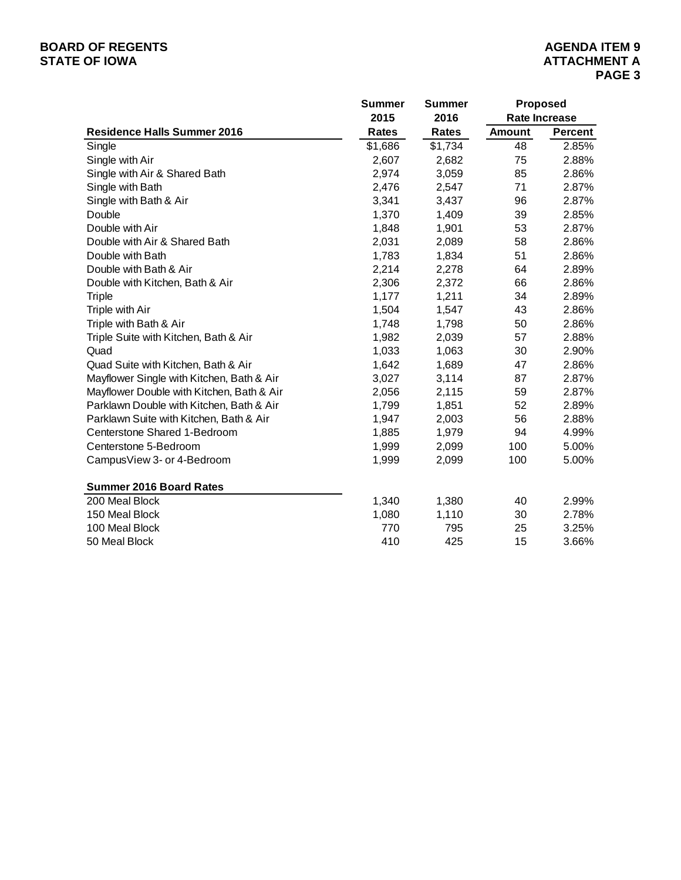# **BOARD OF REGENTS**<br> **BOARD OF REGENTS**<br> **STATE OF IOWA**<br> **ATTACHMENT A**

|                                           | <b>Summer</b> | <b>Summer</b> | Proposed<br><b>Rate Increase</b> |                |  |
|-------------------------------------------|---------------|---------------|----------------------------------|----------------|--|
|                                           | 2015          | 2016          |                                  |                |  |
| <b>Residence Halls Summer 2016</b>        | <b>Rates</b>  | Rates         | <b>Amount</b>                    | <b>Percent</b> |  |
| Single                                    | \$1,686       | \$1,734       | 48                               | 2.85%          |  |
| Single with Air                           | 2,607         | 2,682         | 75                               | 2.88%          |  |
| Single with Air & Shared Bath             | 2,974         | 3,059         | 85                               | 2.86%          |  |
| Single with Bath                          | 2,476         | 2,547         | 71                               | 2.87%          |  |
| Single with Bath & Air                    | 3,341         | 3,437         | 96                               | 2.87%          |  |
| Double                                    | 1,370         | 1,409         | 39                               | 2.85%          |  |
| Double with Air                           | 1,848         | 1,901         | 53                               | 2.87%          |  |
| Double with Air & Shared Bath             | 2,031         | 2,089         | 58                               | 2.86%          |  |
| Double with Bath                          | 1,783         | 1,834         | 51                               | 2.86%          |  |
| Double with Bath & Air                    | 2,214         | 2,278         | 64                               | 2.89%          |  |
| Double with Kitchen, Bath & Air           | 2,306         | 2,372         | 66                               | 2.86%          |  |
| <b>Triple</b>                             | 1,177         | 1,211         | 34                               | 2.89%          |  |
| Triple with Air                           | 1,504         | 1,547         | 43                               | 2.86%          |  |
| Triple with Bath & Air                    | 1,748         | 1,798         | 50                               | 2.86%          |  |
| Triple Suite with Kitchen, Bath & Air     | 1,982         | 2,039         | 57                               | 2.88%          |  |
| Quad                                      | 1,033         | 1,063         | 30                               | 2.90%          |  |
| Quad Suite with Kitchen, Bath & Air       | 1,642         | 1,689         | 47                               | 2.86%          |  |
| Mayflower Single with Kitchen, Bath & Air | 3,027         | 3,114         | 87                               | 2.87%          |  |
| Mayflower Double with Kitchen, Bath & Air | 2,056         | 2,115         | 59                               | 2.87%          |  |
| Parklawn Double with Kitchen, Bath & Air  | 1,799         | 1,851         | 52                               | 2.89%          |  |
| Parklawn Suite with Kitchen, Bath & Air   | 1,947         | 2,003         | 56                               | 2.88%          |  |
| Centerstone Shared 1-Bedroom              | 1,885         | 1,979         | 94                               | 4.99%          |  |
| Centerstone 5-Bedroom                     | 1,999         | 2,099         | 100                              | 5.00%          |  |
| CampusView 3- or 4-Bedroom                | 1,999         | 2,099         | 100                              | 5.00%          |  |
| <b>Summer 2016 Board Rates</b>            |               |               |                                  |                |  |
| 200 Meal Block                            | 1,340         | 1,380         | 40                               | 2.99%          |  |
| 150 Meal Block                            | 1,080         | 1,110         | 30                               | 2.78%          |  |
| 100 Meal Block                            | 770           | 795           | 25                               | 3.25%          |  |
| 50 Meal Block                             | 410           | 425           | 15                               | 3.66%          |  |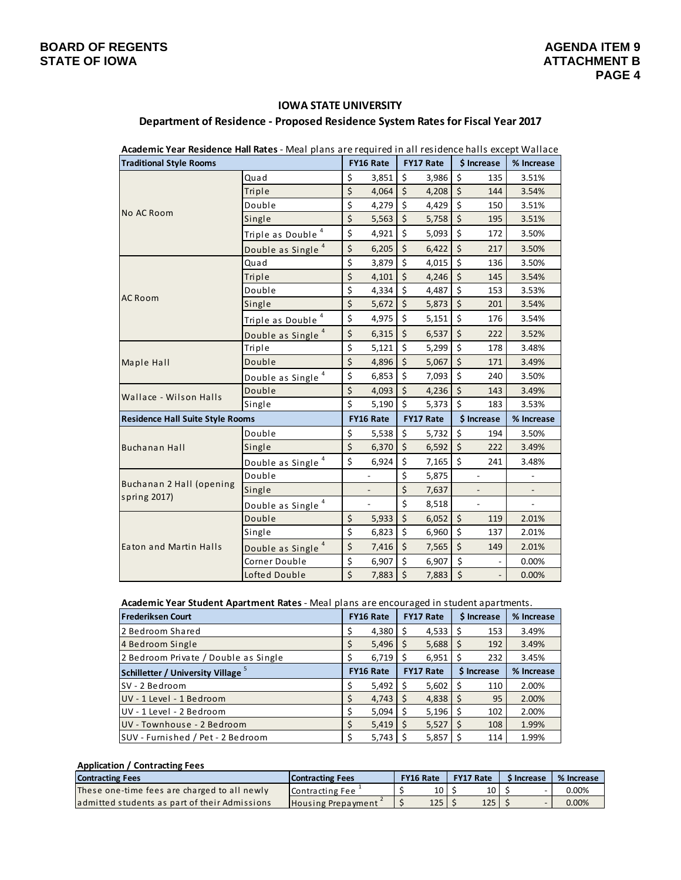## **IOWA STATE UNIVERSITY**

| <b>Academic Year Residence Hail Rates</b> - Meal plans are required in all residence halls except wallace |                               |                         |                          |         |                  |         |                |            |
|-----------------------------------------------------------------------------------------------------------|-------------------------------|-------------------------|--------------------------|---------|------------------|---------|----------------|------------|
| <b>Traditional Style Rooms</b>                                                                            |                               |                         | FY16 Rate                |         | <b>FY17 Rate</b> |         | \$ Increase    | % Increase |
|                                                                                                           | Quad                          | \$                      | 3,851                    | $\zeta$ | 3,986            | \$      | 135            | 3.51%      |
|                                                                                                           | Triple                        | \$                      | 4,064                    | \$      | 4,208            | \$      | 144            | 3.54%      |
|                                                                                                           | Double                        | \$                      | 4,279                    | $\zeta$ | 4,429            | \$      | 150            | 3.51%      |
| No AC Room                                                                                                | Single                        | $\overline{\xi}$        | 5,563                    | \$      | 5,758            | $\zeta$ | 195            | 3.51%      |
|                                                                                                           | Triple as Double <sup>4</sup> | \$                      | 4,921                    | \$      | 5,093            | \$      | 172            | 3.50%      |
|                                                                                                           | Double as Single <sup>4</sup> | \$                      | 6,205                    | \$      | 6,422            | \$      | 217            | 3.50%      |
|                                                                                                           | Quad                          | \$                      | 3,879                    | \$      | 4,015            | \$      | 136            | 3.50%      |
|                                                                                                           | Triple                        | $\overline{\xi}$        | 4,101                    | $\zeta$ | 4,246            | $\zeta$ | 145            | 3.54%      |
|                                                                                                           | Double                        | $\overline{\xi}$        | 4,334                    | $\zeta$ | 4,487            | \$      | 153            | 3.53%      |
| <b>AC Room</b>                                                                                            | Single                        | \$                      | 5,672                    | \$      | 5,873            | \$      | 201            | 3.54%      |
|                                                                                                           | Triple as Double <sup>4</sup> | \$                      | 4,975                    | \$      | 5,151            | \$      | 176            | 3.54%      |
|                                                                                                           | Double as Single <sup>4</sup> | \$                      | 6,315                    | \$      | 6,537            | \$      | 222            | 3.52%      |
| Maple Hall                                                                                                | Triple                        | \$                      | 5,121                    | \$      | 5,299            | \$      | 178            | 3.48%      |
|                                                                                                           | Double                        | $\overline{\xi}$        | 4,896                    | \$      | 5,067            | \$      | 171            | 3.49%      |
|                                                                                                           | Double as Single <sup>4</sup> | \$                      | 6,853                    | \$      | 7,093            | \$      | 240            | 3.50%      |
| Wallace - Wilson Halls                                                                                    | Double                        | \$                      | 4,093                    | \$      | 4,236            | $\zeta$ | 143            | 3.49%      |
|                                                                                                           | Single                        | $\overline{\mathsf{S}}$ | 5,190                    | \$      | 5,373            | \$      | 183            | 3.53%      |
| <b>Residence Hall Suite Style Rooms</b>                                                                   |                               |                         | FY16 Rate                |         | <b>FY17 Rate</b> |         | \$ Increase    | % Increase |
|                                                                                                           | Double                        | \$                      | 5,538                    | \$      | 5,732            | \$      | 194            | 3.50%      |
| Buchanan Hall                                                                                             | Single                        | \$                      | 6,370                    | $\zeta$ | 6,592            | $\zeta$ | 222            | 3.49%      |
|                                                                                                           | Double as Single <sup>4</sup> | \$                      | 6,924                    | \$      | 7,165            | $\zeta$ | 241            | 3.48%      |
|                                                                                                           | Double                        |                         | $\frac{1}{2}$            | \$      | 5,875            |         | $\frac{1}{2}$  |            |
| Buchanan 2 Hall (opening<br>spring 2017)                                                                  | Single                        |                         |                          | \$      | 7,637            |         |                |            |
|                                                                                                           | Double as Single <sup>4</sup> |                         | $\overline{\phantom{a}}$ | \$      | 8,518            |         | $\overline{a}$ | ÷.         |
|                                                                                                           | Double                        | \$                      | 5,933                    | \$      | 6,052            | \$      | 119            | 2.01%      |
|                                                                                                           | Single                        | $\overline{\mathsf{S}}$ | 6,823                    | $\zeta$ | 6,960            | \$      | 137            | 2.01%      |
| Eaton and Martin Halls                                                                                    | Double as Single <sup>4</sup> | \$                      | 7,416                    | \$      | 7,565            | $\zeta$ | 149            | 2.01%      |
|                                                                                                           | Corner Double                 | $\overline{\mathsf{S}}$ | 6,907                    | \$      | 6,907            | \$      |                | 0.00%      |
|                                                                                                           | Lofted Double                 | $\zeta$                 | 7,883                    | $\zeta$ | 7,883            | $\zeta$ | $\frac{1}{2}$  | 0.00%      |

| Department of Residence - Proposed Residence System Rates for Fiscal Year 2017 |  |
|--------------------------------------------------------------------------------|--|
|                                                                                |  |

**Academic Year Residence Hall Rates** ‐ Meal plans are required in all residence halls except Wallace

**Academic Year Student Apartment Rates** ‐ Meal plans are encouraged in student apartments.

| <b>Frederiksen Court</b>             | <b>FY16 Rate</b> |                   | <b>FY17 Rate</b> |       | \$ Increase |     | % Increase |
|--------------------------------------|------------------|-------------------|------------------|-------|-------------|-----|------------|
| 2 Bedroom Shared                     |                  | 4.380             | Ś                | 4,533 |             | 153 | 3.49%      |
| 4 Bedroom Single                     |                  | 5,496             |                  | 5,688 | S           | 192 | 3.49%      |
| 2 Bedroom Private / Double as Single |                  | 6,719             |                  | 6,951 |             | 232 | 3.45%      |
| Schilletter / University Village     | <b>FY16 Rate</b> |                   | <b>FY17 Rate</b> |       | \$ Increase |     | % Increase |
| SV - 2 Bedroom                       |                  | $5,492$ $\mid$ \$ |                  | 5,602 |             | 110 | 2.00%      |
| UV - 1 Level - 1 Bedroom             |                  | 4,743             |                  | 4,838 | S           | 95  | 2.00%      |
| UV - 1 Level - 2 Bedroom             |                  | 5,094             | S                | 5,196 |             | 102 | 2.00%      |
| UV - Townhouse - 2 Bedroom           |                  | 5,419             |                  | 5,527 |             | 108 | 1.99%      |
| SUV - Furnished / Pet - 2 Bedroom    |                  | 5,743             |                  | 5,857 |             | 114 | 1.99%      |

#### **Application / Contracting Fees**

| <b>Contracting Fees</b>                       | <b>Contracting Fees</b> | <b>FY16 Rate</b> | <b>FY17 Rate</b> | S Increase | % Increase |
|-----------------------------------------------|-------------------------|------------------|------------------|------------|------------|
| These one-time fees are charged to all newly  | Contracting Fee         | 10 I             | 10 I             |            | 0.00%      |
| admitted students as part of their Admissions | Housing Prepayment      | 125 <sub>1</sub> | 125              |            | 0.00%      |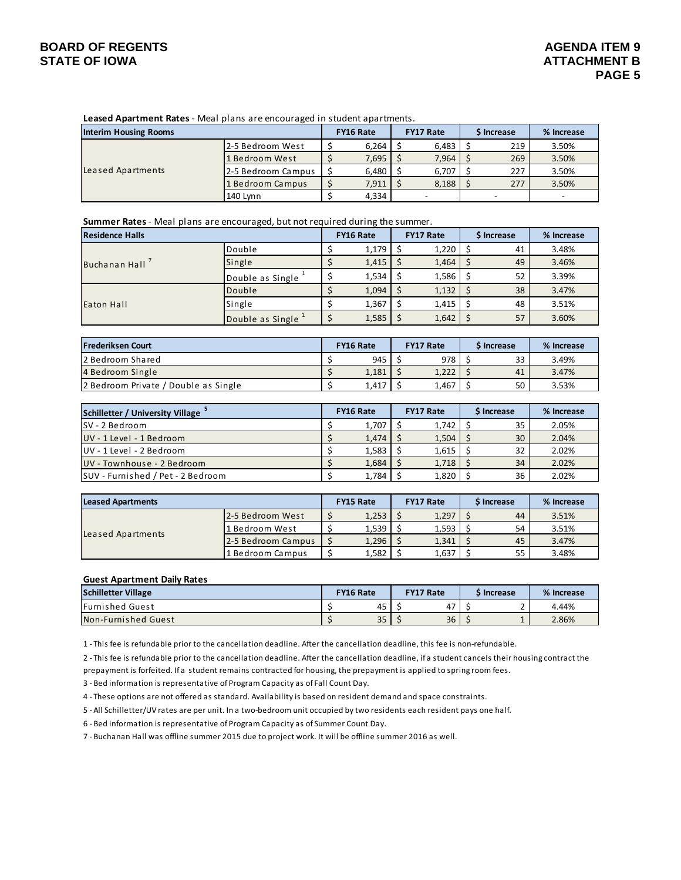## **BOARD OF REGENTS AGENDA ITEM 9**

**Leased Apartment Rates** ‐ Meal plans are encouraged in student apartments.

| <b>Interim Housing Rooms</b> |                    | <b>FY16 Rate</b> |       | <b>FY17 Rate</b> |       | <b>S</b> Increase |     | % Increase |  |  |
|------------------------------|--------------------|------------------|-------|------------------|-------|-------------------|-----|------------|--|--|
|                              | l2-5 Bedroom West  |                  | 6,264 |                  | 6,483 |                   | 219 | 3.50%      |  |  |
|                              | 1 Bedroom West     |                  | 7,695 |                  | 7,964 |                   | 269 | 3.50%      |  |  |
| Leased Apartments            | 2-5 Bedroom Campus |                  | 6,480 |                  | 6,707 |                   | 227 | 3.50%      |  |  |
|                              | 1 Bedroom Campus   |                  | 7,911 |                  | 8,188 |                   | 277 | 3.50%      |  |  |
|                              | 140 Lvnn           |                  | 4,334 |                  |       |                   |     |            |  |  |

**Summer Rates** ‐ Meal plans are encouraged, but not required during the summer.

| Residence Halls   |                    | <b>FY16 Rate</b> | <b>FY17 Rate</b> | <b>S</b> Increase |    | % Increase |
|-------------------|--------------------|------------------|------------------|-------------------|----|------------|
| Buchanan Hall     | Double             | 1,179            | 1,220            |                   | 41 | 3.48%      |
|                   | Single             | 1,415            | 1,464            |                   | 49 | 3.46%      |
|                   | Double as Single   | 1,534            | 1,586            |                   | 52 | 3.39%      |
| <b>Eaton Hall</b> | Double             | 1,094            | 1,132            |                   | 38 | 3.47%      |
|                   | Single             | 1,367            | 1,415            |                   | 48 | 3.51%      |
|                   | Double as Single 1 | 1,585            | 1,642            |                   | 57 | 3.60%      |

| Frederiksen Court                    | <b>FY16 Rate</b><br><b>FY17 Rate</b> |       | <b>S</b> Increase | % Increase |       |
|--------------------------------------|--------------------------------------|-------|-------------------|------------|-------|
| l2 Bedroom Shared                    |                                      | 945   | 978 l             | 33         | 3.49% |
| 4 Bedroom Single                     |                                      | 1,181 | 1,222             | 41         | 3.47% |
| 2 Bedroom Private / Double as Single |                                      | 1.417 | 1,467             | 50         | 3.53% |

| Schilletter / University Village  | <b>FY16 Rate</b> |       | <b>FY17 Rate</b> | <b>S</b> Increase | % Increase |
|-----------------------------------|------------------|-------|------------------|-------------------|------------|
| ISV - 2 Bedroom                   |                  | 1,707 | 1,742            | 35                | 2.05%      |
| <b>UV</b> - 1 Level - 1 Bedroom   |                  | 1,474 | 1,504            | 30                | 2.04%      |
| <b>I</b> UV - 1 Level - 2 Bedroom |                  | 1,583 | 1,615            | 32                | 2.02%      |
| UV - Townhouse - 2 Bedroom        |                  | 1.684 | 1,718            | 34                | 2.02%      |
| SUV - Furnished / Pet - 2 Bedroom |                  | 1.784 | 1,820            | 36                | 2.02%      |

| Leased Apartments |                    | <b>FY15 Rate</b> |       | <b>FY17 Rate</b> | \$ Increase | % Increase |
|-------------------|--------------------|------------------|-------|------------------|-------------|------------|
| Leased Apartments | 12-5 Bedroom West  |                  | 1.253 | 1,297            | 44          | 3.51%      |
|                   | 1 Bedroom West     |                  | 1,539 | 1,593            | 54          | 3.51%      |
|                   | 2-5 Bedroom Campus |                  | 1.296 | 1,341            | 45          | 3.47%      |
|                   | 1 Bedroom Campus   |                  | 1,582 | 1,637            | 55          | 3.48%      |

#### **Guest Apartment Daily Rates**

| <b>Schilletter Village</b> | <b>FY16 Rate</b><br><b>FY17 Rate</b> |    | S Increase | % Increase |       |
|----------------------------|--------------------------------------|----|------------|------------|-------|
| <b>IFurnished Guest</b>    |                                      | 45 | ᇧ<br>4,    |            | 4.44% |
| Non-Furnished Guest        |                                      | 35 | 36         | -          | 2.86% |

1 ‐ This fee is refundable prior to the cancellation deadline. After the cancellation deadline, this fee is non‐refundable.

2 ‐ This fee is refundable prior to the cancellation deadline. After the cancellation deadline, if a student cancels their housing contract the prepayment is forfeited. If a student remains contracted for housing, the prepayment is applied to spring room fees.

3 ‐ Bed information is representative of Program Capacity as of Fall Count Day.

4 ‐ These options are not offered as standard. Availability is based on resident demand and space constraints.

5 ‐ All Schilletter/UV rates are per unit. In a two‐bedroom unit occupied by two residents each resident pays one half.

6 ‐ Bed information is representative of Program Capacity as of Summer Count Day.

7 ‐ Buchanan Hall was offline summer 2015 due to project work. It will be offline summer 2016 as well.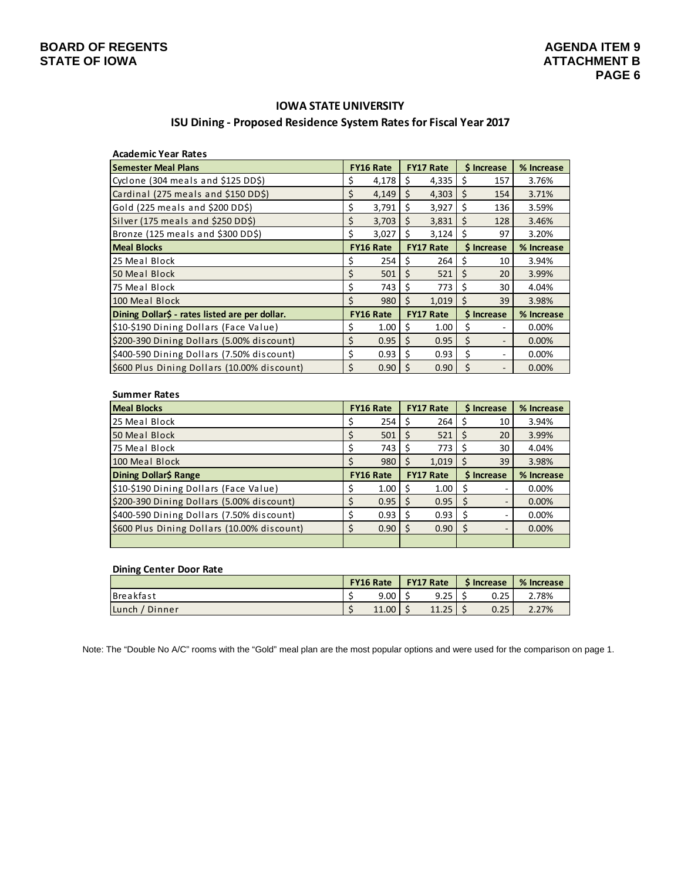## **IOWA STATE UNIVERSITY**

## **ISU Dining ‐ Proposed Residence System Ratesfor Fiscal Year 2017**

| <b>Academic Year Rates</b>                     |                  |       |                  |       |             |                          |            |
|------------------------------------------------|------------------|-------|------------------|-------|-------------|--------------------------|------------|
| <b>Semester Meal Plans</b>                     | <b>FY16 Rate</b> |       | <b>FY17 Rate</b> |       | \$ Increase |                          | % Increase |
| Cyclone (304 meals and \$125 DD\$)             | \$               | 4,178 | \$               | 4,335 | \$          | 157                      | 3.76%      |
| Cardinal (275 meals and \$150 DD\$)            | \$               | 4,149 | Ś.               | 4,303 | Ś.          | 154                      | 3.71%      |
| Gold (225 meals and \$200 DD\$)                | \$               | 3,791 | Ś.               | 3,927 | Ŝ.          | 136                      | 3.59%      |
| Silver (175 meals and \$250 DD\$)              | \$               | 3,703 | Ś                | 3,831 | Ś           | 128                      | 3.46%      |
| Bronze (125 meals and \$300 DD\$)              | \$               | 3,027 | Ś                | 3,124 | Ś           | 97                       | 3.20%      |
| <b>Meal Blocks</b>                             | <b>FY16 Rate</b> |       | <b>FY17 Rate</b> |       | \$ Increase |                          | % Increase |
| 25 Meal Block                                  | \$               | 254   | \$               | 264   | \$          | 10                       | 3.94%      |
| 50 Meal Block                                  | \$               | 501   | Ś.               | 521   | \$          | 20                       | 3.99%      |
| 75 Meal Block                                  | \$               | 743   | Ś                | 773   | Ŝ           | 30                       | 4.04%      |
| 100 Meal Block                                 | Ś                | 980   | Ś                | 1,019 | Ŝ.          | 39                       | 3.98%      |
| Dining Dollar\$ - rates listed are per dollar. | <b>FY16 Rate</b> |       | <b>FY17 Rate</b> |       | \$ Increase |                          | % Increase |
| \$10-\$190 Dining Dollars (Face Value)         | \$               | 1.00  | \$               | 1.00  | \$          | $\overline{\phantom{0}}$ | 0.00%      |
| \$200-390 Dining Dollars (5.00% discount)      | \$               | 0.95  | \$               | 0.95  | \$          | $\qquad \qquad =$        | 0.00%      |
| \$400-590 Dining Dollars (7.50% discount)      | \$               | 0.93  | Ś.               | 0.93  | Ś           | ۰                        | $0.00\%$   |
| \$600 Plus Dining Dollars (10.00% discount)    | Ś                | 0.90  | Ś                | 0.90  | \$          |                          | 0.00%      |

| <b>Summer Rates</b>                         |                  |      |                  |       |                   |    |            |  |
|---------------------------------------------|------------------|------|------------------|-------|-------------------|----|------------|--|
| <b>Meal Blocks</b>                          | <b>FY16 Rate</b> |      | <b>FY17 Rate</b> |       | <b>S</b> Increase |    | % Increase |  |
| 25 Meal Block                               |                  | 254  |                  | 264   | S                 | 10 | 3.94%      |  |
| 50 Meal Block                               |                  | 501  | Ś                | 521   | S                 | 20 | 3.99%      |  |
| 75 Meal Block                               |                  | 743  | S                | 773   |                   | 30 | 4.04%      |  |
| 100 Meal Block                              |                  | 980  | S                | 1,019 |                   | 39 | 3.98%      |  |
|                                             | <b>FY16 Rate</b> |      | <b>FY17 Rate</b> |       | <b>S</b> Increase |    |            |  |
| Dining Dollar\$ Range                       |                  |      |                  |       |                   |    | % Increase |  |
| \$10-\$190 Dining Dollars (Face Value)      |                  | 1.00 | S                | 1.00  | S                 | ۰  | 0.00%      |  |
| \$200-390 Dining Dollars (5.00% discount)   |                  | 0.95 | S                | 0.95  | <sub>S</sub>      | ٠  | 0.00%      |  |
| \$400-590 Dining Dollars (7.50% discount)   |                  | 0.93 | S                | 0.93  | S                 | ۰  | 0.00%      |  |
| \$600 Plus Dining Dollars (10.00% discount) |                  | 0.90 | S                | 0.90  | -S                | -  | 0.00%      |  |

#### **Dining Center Door Rate**

|                   | <b>FY16 Rate</b> |       | <b>FY17 Rate</b> |       | <b>S</b> Increase |      | % Increase |  |
|-------------------|------------------|-------|------------------|-------|-------------------|------|------------|--|
| Breakfast         |                  | 9.00  |                  | 9.25  |                   | 0.25 | 2.78%      |  |
| Lunch<br>/ Dinner |                  | 11.00 |                  | 11.25 |                   | 0.25 | 2.27%      |  |

Note: The "Double No A/C" rooms with the "Gold" meal plan are the most popular options and were used for the comparison on page 1.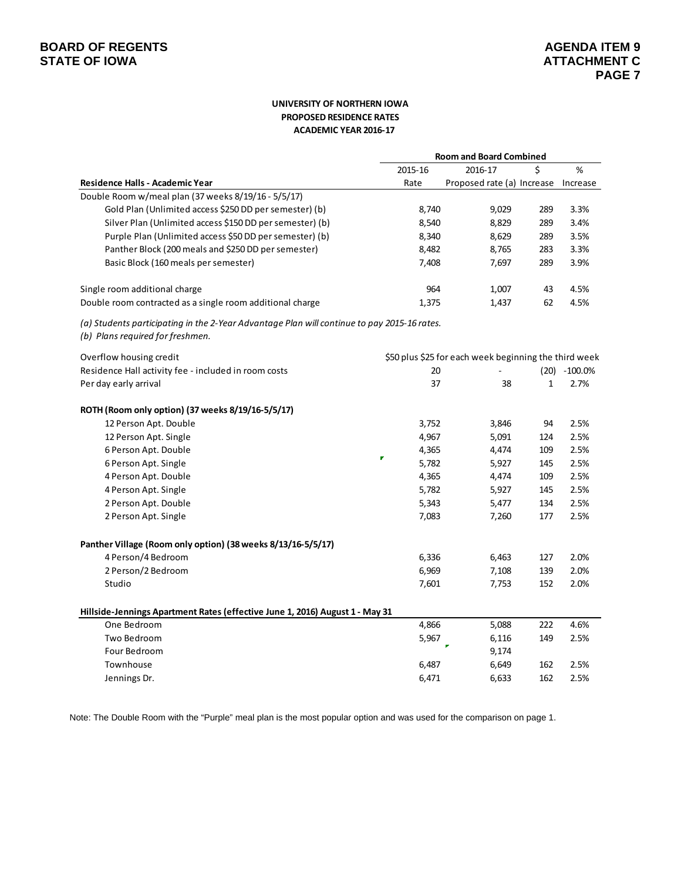#### **UNIVERSITY OF NORTHERN IOWA PROPOSED RESIDENCE RATES ACADEMIC YEAR 2016‐17**

|                                                                                                                                 |         | <b>Room and Board Combined</b>                        |              |                 |  |  |  |  |
|---------------------------------------------------------------------------------------------------------------------------------|---------|-------------------------------------------------------|--------------|-----------------|--|--|--|--|
|                                                                                                                                 | 2015-16 | 2016-17                                               | \$           | $\%$            |  |  |  |  |
| Residence Halls - Academic Year                                                                                                 | Rate    | Proposed rate (a) Increase Increase                   |              |                 |  |  |  |  |
| Double Room w/meal plan (37 weeks 8/19/16 - 5/5/17)                                                                             |         |                                                       |              |                 |  |  |  |  |
| Gold Plan (Unlimited access \$250 DD per semester) (b)                                                                          | 8,740   | 9,029                                                 | 289          | 3.3%            |  |  |  |  |
| Silver Plan (Unlimited access \$150 DD per semester) (b)                                                                        | 8,540   | 8,829                                                 | 289          | 3.4%            |  |  |  |  |
| Purple Plan (Unlimited access \$50 DD per semester) (b)                                                                         | 8,340   | 8,629                                                 | 289          | 3.5%            |  |  |  |  |
| Panther Block (200 meals and \$250 DD per semester)                                                                             | 8,482   | 8,765                                                 | 283          | 3.3%            |  |  |  |  |
| Basic Block (160 meals per semester)                                                                                            | 7,408   | 7,697                                                 | 289          | 3.9%            |  |  |  |  |
| Single room additional charge                                                                                                   | 964     | 1,007                                                 | 43           | 4.5%            |  |  |  |  |
| Double room contracted as a single room additional charge                                                                       | 1,375   | 1,437                                                 | 62           | 4.5%            |  |  |  |  |
| (a) Students participating in the 2-Year Advantage Plan will continue to pay 2015-16 rates.<br>(b) Plans required for freshmen. |         |                                                       |              |                 |  |  |  |  |
| Overflow housing credit                                                                                                         |         | \$50 plus \$25 for each week beginning the third week |              |                 |  |  |  |  |
| Residence Hall activity fee - included in room costs                                                                            | 20      |                                                       |              | $(20) -100.0\%$ |  |  |  |  |
| Per day early arrival                                                                                                           | 37      | 38                                                    | $\mathbf{1}$ | 2.7%            |  |  |  |  |
| ROTH (Room only option) (37 weeks 8/19/16-5/5/17)                                                                               |         |                                                       |              |                 |  |  |  |  |
| 12 Person Apt. Double                                                                                                           | 3,752   | 3,846                                                 | 94           | 2.5%            |  |  |  |  |
| 12 Person Apt. Single                                                                                                           | 4,967   | 5,091                                                 | 124          | 2.5%            |  |  |  |  |
| 6 Person Apt. Double                                                                                                            | 4,365   | 4,474                                                 | 109          | 2.5%            |  |  |  |  |
| 6 Person Apt. Single                                                                                                            | 5,782   | 5,927                                                 | 145          | 2.5%            |  |  |  |  |
| 4 Person Apt. Double                                                                                                            | 4,365   | 4,474                                                 | 109          | 2.5%            |  |  |  |  |
| 4 Person Apt. Single                                                                                                            | 5,782   | 5,927                                                 | 145          | 2.5%            |  |  |  |  |
| 2 Person Apt. Double                                                                                                            | 5,343   | 5,477                                                 | 134          | 2.5%            |  |  |  |  |
| 2 Person Apt. Single                                                                                                            | 7,083   | 7,260                                                 | 177          | 2.5%            |  |  |  |  |
| Panther Village (Room only option) (38 weeks 8/13/16-5/5/17)                                                                    |         |                                                       |              |                 |  |  |  |  |
| 4 Person/4 Bedroom                                                                                                              | 6,336   | 6,463                                                 | 127          | 2.0%            |  |  |  |  |
| 2 Person/2 Bedroom                                                                                                              | 6,969   | 7,108                                                 | 139          | 2.0%            |  |  |  |  |
| Studio                                                                                                                          | 7,601   | 7,753                                                 | 152          | 2.0%            |  |  |  |  |
| Hillside-Jennings Apartment Rates (effective June 1, 2016) August 1 - May 31                                                    |         |                                                       |              |                 |  |  |  |  |
| One Bedroom                                                                                                                     | 4,866   | 5,088                                                 | 222          | 4.6%            |  |  |  |  |
| Two Bedroom                                                                                                                     | 5,967   | 6,116                                                 | 149          | 2.5%            |  |  |  |  |
| Four Bedroom                                                                                                                    |         | 9,174                                                 |              |                 |  |  |  |  |
| Townhouse                                                                                                                       | 6,487   | 6,649                                                 | 162          | 2.5%            |  |  |  |  |
| Jennings Dr.                                                                                                                    | 6,471   | 6,633                                                 | 162          | 2.5%            |  |  |  |  |

Note: The Double Room with the "Purple" meal plan is the most popular option and was used for the comparison on page 1.